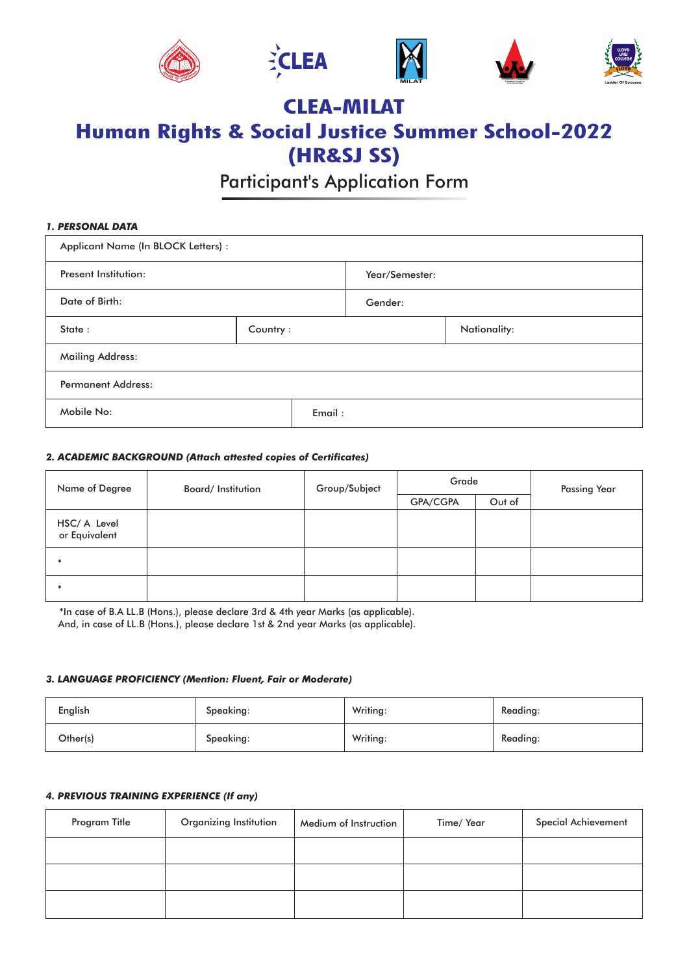









# **CLEA-MILAT Human Rights & Social Justice Summer School-2022 (HR&SJ SS)**

Participant's Application Form

# Applicant Name (In BLOCK Letters) : Present Institution: Date of Birth: State : Mailing Address: Permanent Address: Mobile No: *1. PERSONAL DATA* Year/Semester: Gender: Email : Country : Nationality:

## *2. ACADEMIC BACKGROUND (Attach attested copies of Certificates)*

| Name of Degree                | Board/Institution | Group/Subject | Grade    |        | <b>Passing Year</b> |
|-------------------------------|-------------------|---------------|----------|--------|---------------------|
|                               |                   |               | GPA/CGPA | Out of |                     |
| HSC/ A Level<br>or Equivalent |                   |               |          |        |                     |
|                               |                   |               |          |        |                     |
|                               |                   |               |          |        |                     |

\*In case of B.A LL.B (Hons.), please declare 3rd & 4th year Marks (as applicable). And, in case of LL.B (Hons.), please declare 1st & 2nd year Marks (as applicable).

#### *3. LANGUAGE PROFICIENCY (Mention: Fluent, Fair or Moderate)*

| English  | Speaking: | Writing: | Reading: |
|----------|-----------|----------|----------|
| Other(s) | Speaking: | Writing: | Reading: |

# *4. PREVIOUS TRAINING EXPERIENCE (If any)*

| Program Title | Organizing Institution | Medium of Instruction | Time/ Year | Special Achievement |
|---------------|------------------------|-----------------------|------------|---------------------|
|               |                        |                       |            |                     |
|               |                        |                       |            |                     |
|               |                        |                       |            |                     |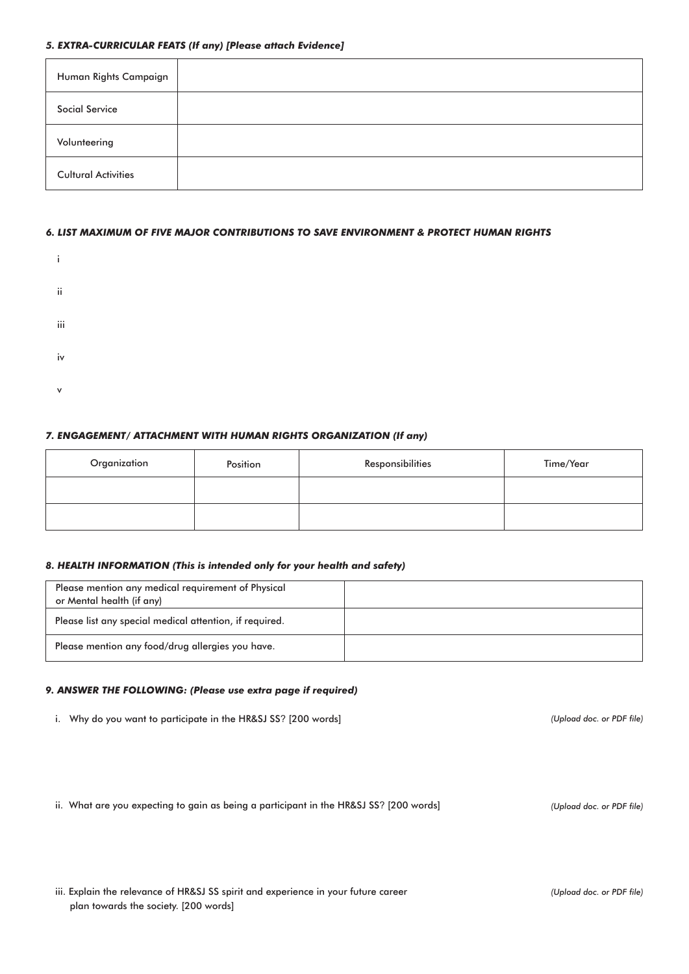#### *5. EXTRA-CURRICULAR FEATS (If any) [Please attach Evidence]*

| Human Rights Campaign      |  |
|----------------------------|--|
| Social Service             |  |
| Volunteering               |  |
| <b>Cultural Activities</b> |  |

#### *6. LIST MAXIMUM OF FIVE MAJOR CONTRIBUTIONS TO SAVE ENVIRONMENT & PROTECT HUMAN RIGHTS*



# *7. ENGAGEMENT/ ATTACHMENT WITH HUMAN RIGHTS ORGANIZATION (If any)*

| Organization | Position | Responsibilities | Time/Year |
|--------------|----------|------------------|-----------|
|              |          |                  |           |
|              |          |                  |           |

#### *8. HEALTH INFORMATION (This is intended only for your health and safety)*

| Please mention any medical requirement of Physical<br>or Mental health (if any) |  |
|---------------------------------------------------------------------------------|--|
| Please list any special medical attention, if required.                         |  |
| Please mention any food/drug allergies you have.                                |  |

### *9. ANSWER THE FOLLOWING: (Please use extra page if required)*

i. Why do you want to participate in the HR&SJ SS? [200 words]

ii. What are you expecting to gain as being a participant in the HR&SJ SS? [200 words]

*(Upload doc. or PDF file)*

*(Upload doc. or PDF file)*

*(Upload doc. or PDF file)*